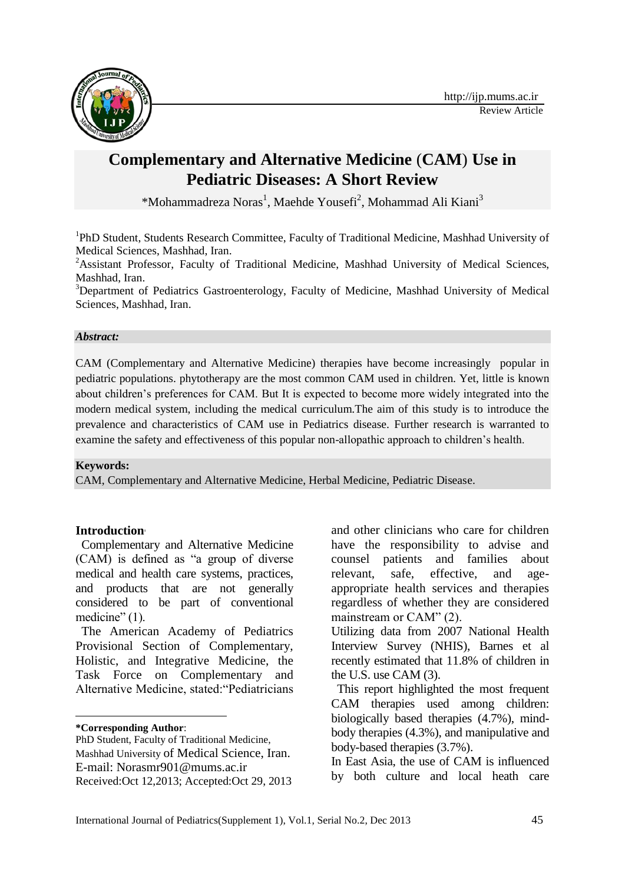

# **Complementary and Alternative Medicine** (**CAM**) **Use in Pediatric Diseases: A Short Review**

[\\*Mohammadreza](http://ijp.mums.ac.ir/?_action=article&au=19132&_au=Mohhad+Reza++Noras) Noras<sup>1</sup>, Maehde Yousefi<sup>2</sup>, Mohammad Ali Kiani<sup>3</sup>

<sup>1</sup>PhD Student, Students Research Committee, Faculty of Traditional Medicine, Mashhad University of Medical Sciences, Mashhad, Iran.

<sup>2</sup>Assistant Professor, Faculty of Traditional Medicine, Mashhad University of Medical Sciences, Mashhad, Iran.

<sup>3</sup>Department of Pediatrics Gastroenterology, Faculty of Medicine, Mashhad University of Medical Sciences, Mashhad, Iran.

## *Abstract:*

CAM (Complementary and Alternative Medicine) therapies have become increasingly popular in pediatric populations. phytotherapy are the most common CAM used in children. Yet, little is known about children's preferences for CAM. But It is expected to become more widely integrated into the modern medical system, including the medical curriculum.The aim of this study is to introduce the prevalence and characteristics of CAM use in Pediatrics disease. Further research is warranted to examine the safety and effectiveness of this popular non-allopathic approach to children's health.

## **Keywords:**

CAM, Complementary and Alternative Medicine, Herbal Medicine, Pediatric Disease.

## **Introduction<sup>1</sup>**

Complementary and Alternative Medicine (CAM) is defined as "a group of diverse medical and health care systems, practices, and products that are not generally considered to be part of conventional medicine" (1).

The American Academy of Pediatrics Provisional Section of Complementary, Holistic, and Integrative Medicine, the Task Force on Complementary and Alternative Medicine, stated:"Pediatricians

**\*Corresponding Author**:

**.** 

and other clinicians who care for children have the responsibility to advise and counsel patients and families about relevant, safe, effective, and ageappropriate health services and therapies regardless of whether they are considered mainstream or CAM" (2).

Utilizing data from 2007 National Health Interview Survey (NHIS), Barnes et al recently estimated that 11.8% of children in the U.S. use CAM (3).

This report highlighted the most frequent CAM therapies used among children: biologically based therapies (4.7%), mindbody therapies (4.3%), and manipulative and body-based therapies (3.7%).

In East Asia, the use of CAM is influenced by both culture and local heath care

PhD Student, Faculty of Traditional Medicine, Mashhad University of Medical Science, Iran. E-mail: Norasmr901@mums.ac.ir Received:Oct 12,2013; Accepted:Oct 29, 2013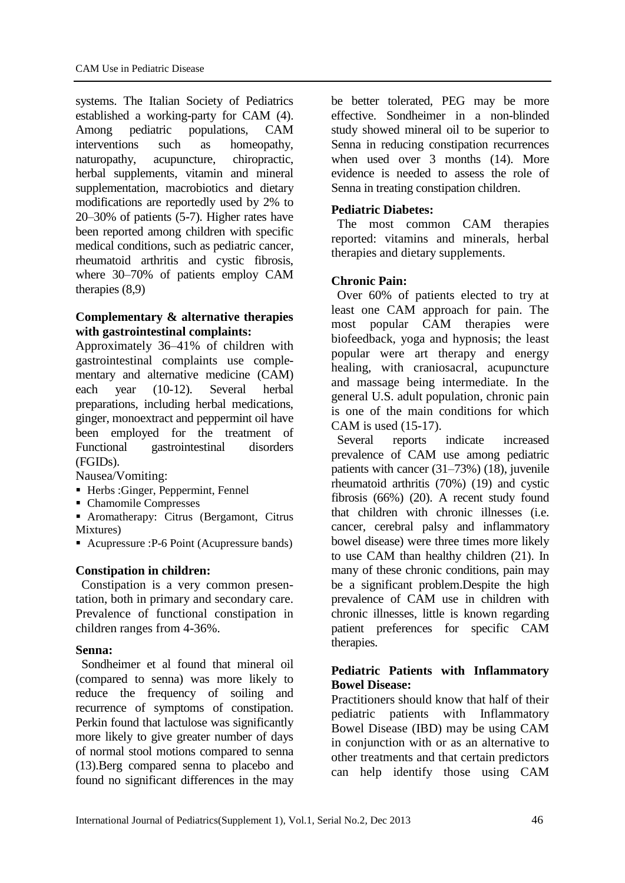systems. The Italian Society of Pediatrics established a working-party for CAM (4). Among pediatric populations, CAM interventions such as homeopathy, naturopathy, acupuncture, chiropractic, herbal supplements, vitamin and mineral supplementation, macrobiotics and dietary modifications are reportedly used by 2% to 20–30% of patients (5-7). Higher rates have been reported among children with specific medical conditions, such as pediatric cancer, rheumatoid arthritis and cystic fibrosis, where 30–70% of patients employ CAM therapies (8,9)

## **Complementary & alternative therapies with gastrointestinal complaints:**

Approximately 36–41% of children with gastrointestinal complaints use complementary and alternative medicine (CAM) each year (10-12). Several herbal preparations, including herbal medications, ginger, monoextract and peppermint oil have been employed for the treatment of Functional gastrointestinal disorders (FGIDs).

Nausea/Vomiting:

- Herbs :Ginger, Peppermint, Fennel
- Chamomile Compresses
- Aromatherapy: Citrus (Bergamont, Citrus Mixtures)

■ Acupressure :P-6 Point (Acupressure bands)

## **Constipation in children:**

Constipation is a very common presentation, both in primary and secondary care. Prevalence of functional constipation in children ranges from 4-36%.

## **Senna:**

Sondheimer et al found that mineral oil (compared to senna) was more likely to reduce the frequency of soiling and recurrence of symptoms of constipation. Perkin found that lactulose was significantly more likely to give greater number of days of normal stool motions compared to senna (13).Berg compared senna to placebo and found no significant differences in the may

be better tolerated, PEG may be more effective. Sondheimer in a non-blinded study showed mineral oil to be superior to Senna in reducing constipation recurrences when used over 3 months (14). More evidence is needed to assess the role of Senna in treating constipation children.

## **Pediatric Diabetes:**

The most common CAM therapies reported: vitamins and minerals, herbal therapies and dietary supplements.

## **Chronic Pain:**

Over 60% of patients elected to try at least one CAM approach for pain. The most popular CAM therapies were biofeedback, yoga and hypnosis; the least popular were art therapy and energy healing, with craniosacral, acupuncture and massage being intermediate. In the general U.S. adult population, chronic pain is one of the main conditions for which CAM is used (15-17).

Several reports indicate increased prevalence of CAM use among pediatric patients with cancer (31–73%) (18), juvenile rheumatoid arthritis (70%) (19) and cystic fibrosis (66%) (20). A recent study found that children with chronic illnesses (i.e. cancer, cerebral palsy and inflammatory bowel disease) were three times more likely to use CAM than healthy children (21). In many of these chronic conditions, pain may be a significant problem.Despite the high prevalence of CAM use in children with chronic illnesses, little is known regarding patient preferences for specific CAM therapies.

## **Pediatric Patients with Inflammatory Bowel Disease:**

Practitioners should know that half of their pediatric patients with Inflammatory Bowel Disease (IBD) may be using CAM in conjunction with or as an alternative to other treatments and that certain predictors can help identify those using CAM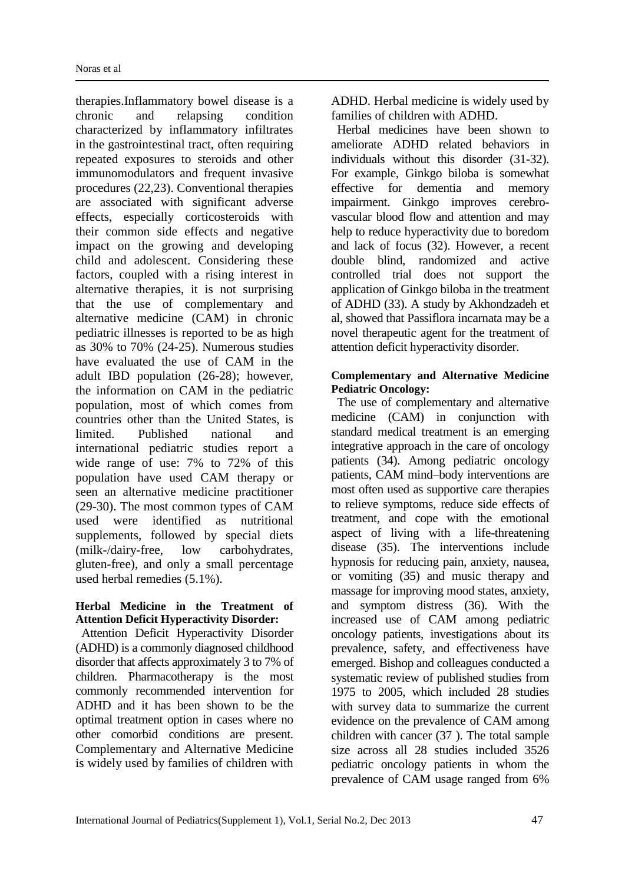therapies.Inflammatory bowel disease is a chronic and relapsing condition characterized by inflammatory infiltrates in the gastrointestinal tract, often requiring repeated exposures to steroids and other immunomodulators and frequent invasive procedures (22,23). Conventional therapies are associated with significant adverse effects, especially corticosteroids with their common side effects and negative impact on the growing and developing child and adolescent. Considering these factors, coupled with a rising interest in alternative therapies, it is not surprising that the use of complementary and alternative medicine (CAM) in chronic pediatric illnesses is reported to be as high as 30% to 70% (24-25). Numerous studies have evaluated the use of CAM in the adult IBD population (26-28); however, the information on CAM in the pediatric population, most of which comes from countries other than the United States, is limited. Published national and international pediatric studies report a wide range of use: 7% to 72% of this population have used CAM therapy or seen an alternative medicine practitioner (29-30). The most common types of CAM used were identified as nutritional supplements, followed by special diets (milk-/dairy-free, low carbohydrates, gluten-free), and only a small percentage used herbal remedies (5.1%).

#### **Herbal Medicine in the Treatment of Attention Deficit Hyperactivity Disorder:**

Attention Deficit Hyperactivity Disorder (ADHD) is a commonly diagnosed childhood disorder that affects approximately 3 to 7% of children. Pharmacotherapy is the most commonly recommended intervention for ADHD and it has been shown to be the optimal treatment option in cases where no other comorbid conditions are present. Complementary and Alternative Medicine is widely used by families of children with ADHD. Herbal medicine is widely used by families of children with ADHD.

Herbal medicines have been shown to ameliorate ADHD related behaviors in individuals without this disorder (31-32). For example, Ginkgo biloba is somewhat effective for dementia and memory impairment. Ginkgo improves cerebrovascular blood flow and attention and may help to reduce hyperactivity due to boredom and lack of focus (32). However, a recent double blind, randomized and active controlled trial does not support the application of Ginkgo biloba in the treatment of ADHD (33). A study by Akhondzadeh et al, showed that Passiflora incarnata may be a novel therapeutic agent for the treatment of attention deficit hyperactivity disorder.

## **Complementary and Alternative Medicine Pediatric Oncology:**

The use of complementary and alternative medicine (CAM) in conjunction with standard medical treatment is an emerging integrative approach in the care of oncology patients (34). Among pediatric oncology patients, CAM mind–body interventions are most often used as supportive care therapies to relieve symptoms, reduce side effects of treatment, and cope with the emotional aspect of living with a life-threatening disease (35). The interventions include hypnosis for reducing pain, anxiety, nausea, or vomiting (35) and music therapy and massage for improving mood states, anxiety, and symptom distress (36). With the increased use of CAM among pediatric oncology patients, investigations about its prevalence, safety, and effectiveness have emerged. Bishop and colleagues conducted a systematic review of published studies from 1975 to 2005, which included 28 studies with survey data to summarize the current evidence on the prevalence of CAM among children with cancer (37 ). The total sample size across all 28 studies included 3526 pediatric oncology patients in whom the prevalence of CAM usage ranged from 6%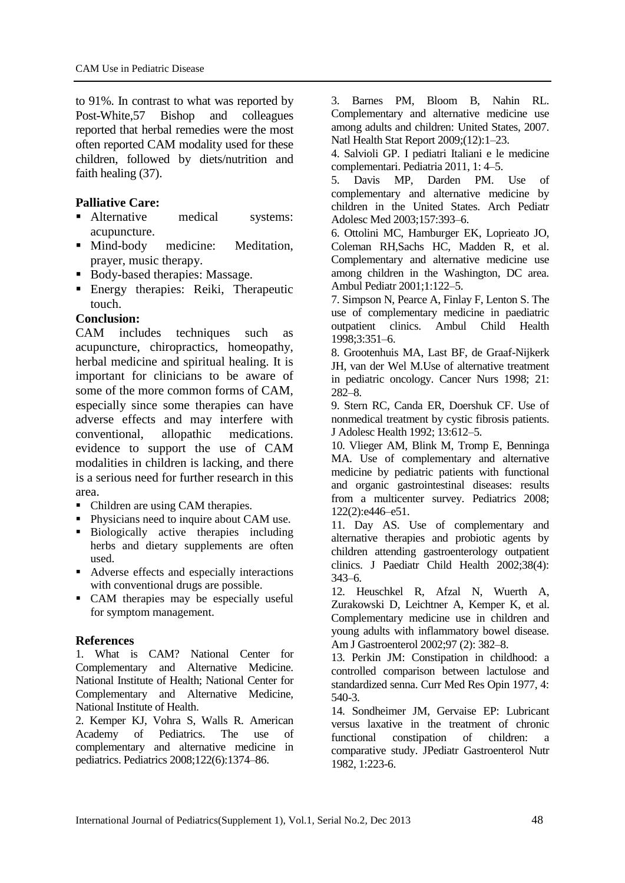to 91%. In contrast to what was reported by Post-White,57 Bishop and colleagues reported that herbal remedies were the most often reported CAM modality used for these children, followed by diets/nutrition and faith healing (37).

## **Palliative Care:**

- Alternative medical systems: acupuncture.
- Mind-body medicine: Meditation, prayer, music therapy.
- Body-based therapies: Massage.
- Energy therapies: Reiki, Therapeutic touch.

## **Conclusion:**

CAM includes techniques such as acupuncture, chiropractics, homeopathy, herbal medicine and spiritual healing. It is important for clinicians to be aware of some of the more common forms of CAM, especially since some therapies can have adverse effects and may interfere with conventional, allopathic medications. evidence to support the use of CAM modalities in children is lacking, and there is a serious need for further research in this area.

- Children are using CAM therapies.
- Physicians need to inquire about CAM use.
- Biologically active therapies including herbs and dietary supplements are often used.
- Adverse effects and especially interactions with conventional drugs are possible.
- CAM therapies may be especially useful for symptom management.

## **References**

1. What is CAM? National Center for Complementary and Alternative Medicine. National Institute of Health; National Center for Complementary and Alternative Medicine, National Institute of Health.

2. Kemper KJ, Vohra S, Walls R. American Academy of Pediatrics. The use of complementary and alternative medicine in pediatrics. Pediatrics 2008;122(6):1374–86.

3. Barnes PM, Bloom B, Nahin RL. Complementary and alternative medicine use among adults and children: United States, 2007. Natl Health Stat Report 2009;(12):1–23.

4. Salvioli GP. I pediatri Italiani e le medicine complementari. Pediatria 2011, 1: 4–5.

5. Davis MP, Darden PM. Use of complementary and alternative medicine by children in the United States. Arch Pediatr Adolesc Med 2003;157:393–6.

6. Ottolini MC, Hamburger EK, Loprieato JO, Coleman RH,Sachs HC, Madden R, et al. Complementary and alternative medicine use among children in the Washington, DC area. Ambul Pediatr 2001;1:122–5.

7. Simpson N, Pearce A, Finlay F, Lenton S. The use of complementary medicine in paediatric outpatient clinics. Ambul Child Health 1998;3:351–6.

8. Grootenhuis MA, Last BF, de Graaf-Nijkerk JH, van der Wel M.Use of alternative treatment in pediatric oncology. Cancer Nurs 1998; 21: 282–8.

9. Stern RC, Canda ER, Doershuk CF. Use of nonmedical treatment by cystic fibrosis patients. J Adolesc Health 1992; 13:612–5.

10. Vlieger AM, Blink M, Tromp E, Benninga MA. Use of complementary and alternative medicine by pediatric patients with functional and organic gastrointestinal diseases: results from a multicenter survey. Pediatrics 2008; 122(2):e446–e51.

11. Day AS. Use of complementary and alternative therapies and probiotic agents by children attending gastroenterology outpatient clinics. J Paediatr Child Health 2002;38(4): 343–6.

12. [Heuschkel R,](http://www.ncbi.nlm.nih.gov/pubmed?term=Heuschkel%20R%5BAuthor%5D&cauthor=true&cauthor_uid=11866277) [Afzal N,](http://www.ncbi.nlm.nih.gov/pubmed?term=Afzal%20N%5BAuthor%5D&cauthor=true&cauthor_uid=11866277) [Wuerth A,](http://www.ncbi.nlm.nih.gov/pubmed?term=Wuerth%20A%5BAuthor%5D&cauthor=true&cauthor_uid=11866277) [Zurakowski D,](http://www.ncbi.nlm.nih.gov/pubmed?term=Zurakowski%20D%5BAuthor%5D&cauthor=true&cauthor_uid=11866277) [Leichtner A,](http://www.ncbi.nlm.nih.gov/pubmed?term=Leichtner%20A%5BAuthor%5D&cauthor=true&cauthor_uid=11866277) [Kemper K,](http://www.ncbi.nlm.nih.gov/pubmed?term=Kemper%20K%5BAuthor%5D&cauthor=true&cauthor_uid=11866277) et al. Complementary medicine use in children and young adults with inflammatory bowel disease. Am J Gastroenterol 2002;97 (2): 382–8.

13. Perkin JM: Constipation in childhood: a controlled comparison between lactulose and standardized senna. Curr Med Res Opin 1977, 4: 540-3.

14. Sondheimer JM, Gervaise EP: Lubricant versus laxative in the treatment of chronic functional constipation of children: a comparative study. JPediatr Gastroenterol Nutr 1982, 1:223-6.